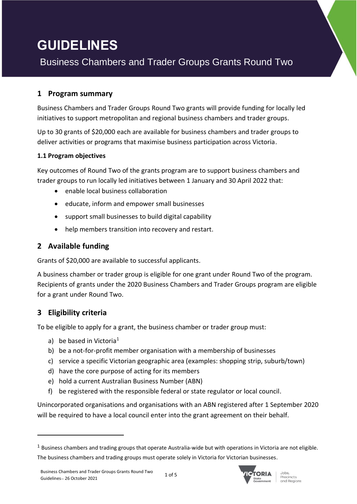# **GUIDELINES**

Business Chambers and Trader Groups Grants Round Two

### **1 Program summary**

Business Chambers and Trader Groups Round Two grants will provide funding for locally led initiatives to support metropolitan and regional business chambers and trader groups.

Up to 30 grants of \$20,000 each are available for business chambers and trader groups to deliver activities or programs that maximise business participation across Victoria.

#### **1.1 Program objectives**

Key outcomes of Round Two of the grants program are to support business chambers and trader groups to run locally led initiatives between 1 January and 30 April 2022 that:

- enable local business collaboration
- educate, inform and empower small businesses
- support small businesses to build digital capability
- help members transition into recovery and restart.

# **2 Available funding**

Grants of \$20,000 are available to successful applicants.

A business chamber or trader group is eligible for one grant under Round Two of the program. Recipients of grants under the 2020 Business Chambers and Trader Groups program are eligible for a grant under Round Two.

## **3 Eligibility criteria**

To be eligible to apply for a grant, the business chamber or trader group must:

- a) be based in Victoria<sup>1</sup>
- b) be a not-for-profit member organisation with a membership of businesses
- c) service a specific Victorian geographic area (examples: shopping strip, suburb/town)
- d) have the core purpose of acting for its members
- e) hold a current Australian Business Number (ABN)
- f) be registered with the responsible federal or state regulator or local council.

Unincorporated organisations and organisations with an ABN registered after 1 September 2020 will be required to have a local council enter into the grant agreement on their behalf.



 $1$  Business chambers and trading groups that operate Australia-wide but with operations in Victoria are not eligible. The business chambers and trading groups must operate solely in Victoria for Victorian businesses.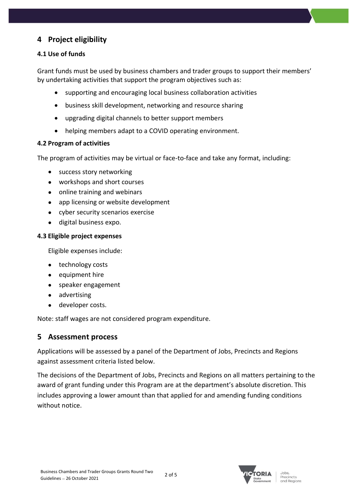# **4 Project eligibility**

#### **4.1 Use of funds**

Grant funds must be used by business chambers and trader groups to support their members' by undertaking activities that support the program objectives such as:

- supporting and encouraging local business collaboration activities
- business skill development, networking and resource sharing
- upgrading digital channels to better support members
- helping members adapt to a COVID operating environment.

#### **4.2 Program of activities**

The program of activities may be virtual or face-to-face and take any format, including:

- success story networking
- workshops and short courses
- online training and webinars
- app licensing or website development
- cyber security scenarios exercise
- digital business expo.

#### **4.3 Eligible project expenses**

Eligible expenses include:

- technology costs
- equipment hire
- speaker engagement
- advertising
- developer costs.

Note: staff wages are not considered program expenditure.

## **5 Assessment process**

Applications will be assessed by a panel of the Department of Jobs, Precincts and Regions against assessment criteria listed below.

The decisions of the Department of Jobs, Precincts and Regions on all matters pertaining to the award of grant funding under this Program are at the department's absolute discretion. This includes approving a lower amount than that applied for and amending funding conditions without notice.

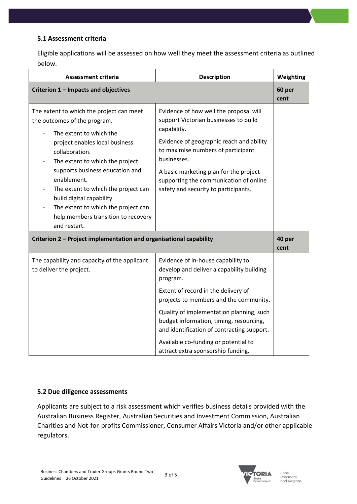#### **5.1 Assessment criteria**

Eligible applications will be assessed on how well they meet the assessment criteria as outlined below.

| Assessment criteria                                                                                                                                                                                                                                                                                                                                                                                            | <b>Description</b>                                                                                                                                                                                                                                                                                                          | Weighting      |
|----------------------------------------------------------------------------------------------------------------------------------------------------------------------------------------------------------------------------------------------------------------------------------------------------------------------------------------------------------------------------------------------------------------|-----------------------------------------------------------------------------------------------------------------------------------------------------------------------------------------------------------------------------------------------------------------------------------------------------------------------------|----------------|
| Criterion 1 - Impacts and objectives                                                                                                                                                                                                                                                                                                                                                                           |                                                                                                                                                                                                                                                                                                                             | 60 per<br>cent |
| The extent to which the project can meet<br>the outcomes of the program.<br>The extent to which the<br>project enables local business<br>collaboration.<br>The extent to which the project<br>supports business education and<br>enablement.<br>The extent to which the project can<br>build digital capability.<br>The extent to which the project can<br>help members transition to recovery<br>and restart. | Evidence of how well the proposal will<br>support Victorian businesses to build<br>capability.<br>Evidence of geographic reach and ability<br>to maximise numbers of participant<br>businesses.<br>A basic marketing plan for the project<br>supporting the communication of online<br>safety and security to participants. |                |
| Criterion 2 - Project implementation and organisational capability                                                                                                                                                                                                                                                                                                                                             |                                                                                                                                                                                                                                                                                                                             | 40 per<br>cent |
| The capability and capacity of the applicant<br>to deliver the project.                                                                                                                                                                                                                                                                                                                                        | Evidence of in-house capability to<br>develop and deliver a capability building<br>program.<br>Extent of record in the delivery of<br>projects to members and the community.                                                                                                                                                |                |
|                                                                                                                                                                                                                                                                                                                                                                                                                | Quality of implementation planning, such<br>budget information, timing, resourcing,<br>and identification of contracting support.<br>Available co-funding or potential to<br>attract extra sponsorship funding.                                                                                                             |                |

#### **5.2 Due diligence assessments**

Applicants are subject to a risk assessment which verifies business details provided with the Australian Business Register, Australian Securities and Investment Commission, Australian Charities and Not-for-profits Commissioner, Consumer Affairs Victoria and/or other applicable regulators.

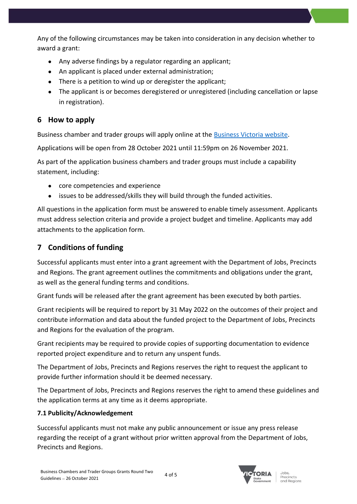Any of the following circumstances may be taken into consideration in any decision whether to award a grant:

- Any adverse findings by a regulator regarding an applicant;
- An applicant is placed under external administration;
- There is a petition to wind up or deregister the applicant;
- The applicant is or becomes deregistered or unregistered (including cancellation or lapse in registration).

# **6 How to apply**

Business chamber and trader groups will apply online at the [Business Victoria website.](https://business.vic.gov.au/)

Applications will be open from 28 October 2021 until 11:59pm on 26 November 2021.

As part of the application business chambers and trader groups must include a capability statement, including:

- core competencies and experience
- issues to be addressed/skills they will build through the funded activities.

All questions in the application form must be answered to enable timely assessment. Applicants must address selection criteria and provide a project budget and timeline. Applicants may add attachments to the application form.

# **7 Conditions of funding**

Successful applicants must enter into a grant agreement with the Department of Jobs, Precincts and Regions. The grant agreement outlines the commitments and obligations under the grant, as well as the general funding terms and conditions.

Grant funds will be released after the grant agreement has been executed by both parties.

Grant recipients will be required to report by 31 May 2022 on the outcomes of their project and contribute information and data about the funded project to the Department of Jobs, Precincts and Regions for the evaluation of the program.

Grant recipients may be required to provide copies of supporting documentation to evidence reported project expenditure and to return any unspent funds.

The Department of Jobs, Precincts and Regions reserves the right to request the applicant to provide further information should it be deemed necessary.

The Department of Jobs, Precincts and Regions reserves the right to amend these guidelines and the application terms at any time as it deems appropriate.

#### **7.1 Publicity/Acknowledgement**

Successful applicants must not make any public announcement or issue any press release regarding the receipt of a grant without prior written approval from the Department of Jobs, Precincts and Regions.